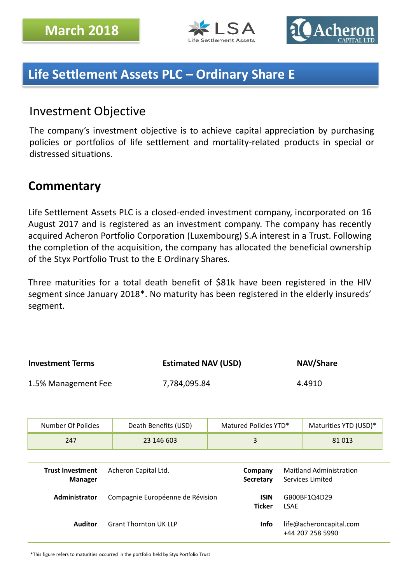



# **Life Settlement Assets PLC – Ordinary Share E**

## Investment Objective

The company's investment objective is to achieve capital appreciation by purchasing policies or portfolios of life settlement and mortality-related products in special or distressed situations.

## **Commentary**

Life Settlement Assets PLC is a closed-ended investment company, incorporated on 16 August 2017 and is registered as an investment company. The company has recently acquired Acheron Portfolio Corporation (Luxembourg) S.A interest in a Trust. Following the completion of the acquisition, the company has allocated the beneficial ownership of the Styx Portfolio Trust to the E Ordinary Shares.

Three maturities for a total death benefit of \$81k have been registered in the HIV segment since January 2018\*. No maturity has been registered in the elderly insureds' segment.

| <b>Investment Terms</b> | <b>Estimated NAV (USD)</b> | <b>NAV/Share</b> |
|-------------------------|----------------------------|------------------|
| 1.5% Management Fee     | 7,784,095.84               | 4.4910           |

| Number Of Policies | Death Benefits (USD) | Matured Policies YTD* | Maturities YTD (USD)* |
|--------------------|----------------------|-----------------------|-----------------------|
| 247                | 23 146 603           |                       | 81 013                |

| <b>Trust Investment</b><br><b>Manager</b> | Acheron Capital Ltd.             | Company<br>Secretary         | <b>Maitland Administration</b><br>Services Limited |
|-------------------------------------------|----------------------------------|------------------------------|----------------------------------------------------|
| <b>Administrator</b>                      | Compagnie Européenne de Révision | <b>ISIN</b><br><b>Ticker</b> | GB00BF1Q4D29<br><b>LSAE</b>                        |
| Auditor                                   | <b>Grant Thornton UK LLP</b>     | Info                         | life@acheroncapital.com<br>+44 207 258 5990        |

\*This figure refers to maturities occurred in the portfolio held by Styx Portfolio Trust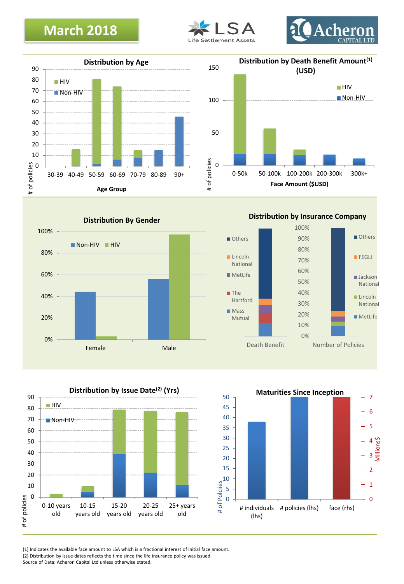# **March 2018**











**Distribution by Insurance Company**







(1) Indicates the available face amount to LSA which is a fractional interest of initial face amount.

(2) Distribution by issue dates reflects the time since the life insurance policy was issued.

Source of Data: Acheron Capital Ltd unless otherwise stated.